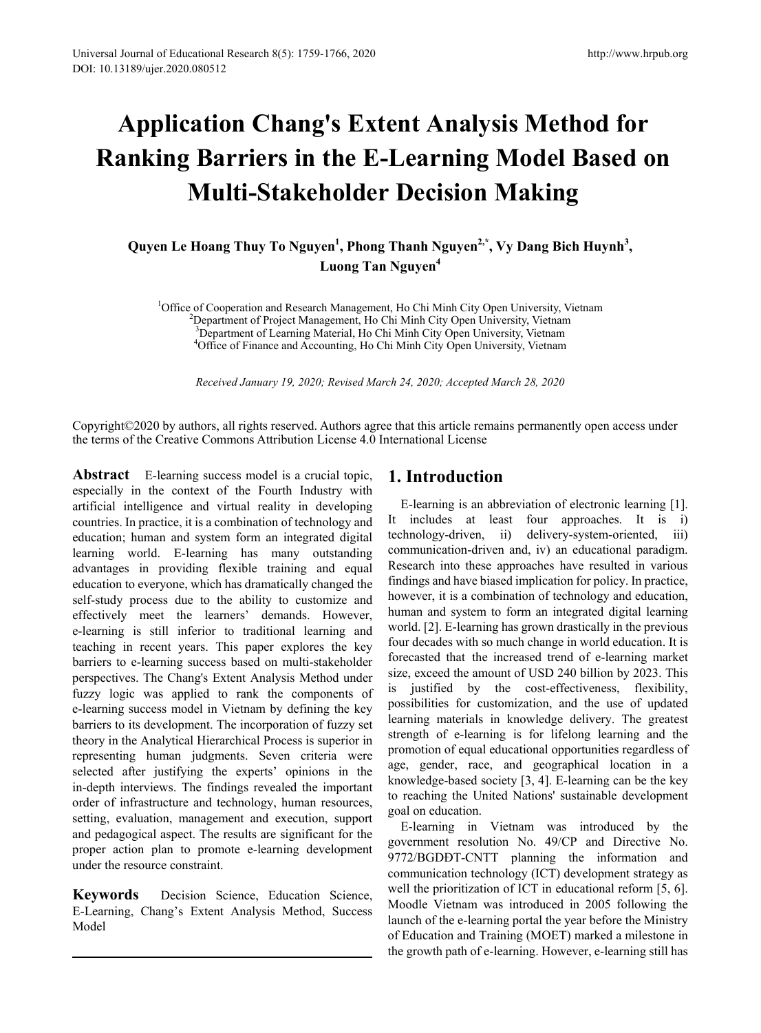# **Application Chang's Extent Analysis Method for Ranking Barriers in the E-Learning Model Based on Multi-Stakeholder Decision Making**

Quyen Le Hoang Thuy To Nguyen<sup>1</sup>, Phong Thanh Nguyen<sup>2,\*</sup>, Vy Dang Bich Huynh<sup>3</sup>, **Luong Tan Nguyen<sup>4</sup>**

<sup>1</sup>Office of Cooperation and Research Management, Ho Chi Minh City Open University, Vietnam <sup>2</sup> Department of Project Management, Ho Chi Minh City Open University, Vietnam <sup>2</sup>Department of Project Management, Ho Chi Minh City Open University, Vietnam <sup>3</sup> Department of Learning Material, Ho Chi Minh City Open University, Vietnam <sup>4</sup>Office of Einance and Accounting Ho Chi Minh City Open University, Vietnam <sup>4</sup>Office of Finance and Accounting, Ho Chi Minh City Open University, Vietnam

*Received January 19, 2020; Revised March 24, 2020; Accepted March 28, 2020*

Copyright©2020 by authors, all rights reserved. Authors agree that this article remains permanently open access under the terms of the Creative Commons Attribution License 4.0 International License

**Abstract** E-learning success model is a crucial topic, especially in the context of the Fourth Industry with artificial intelligence and virtual reality in developing countries. In practice, it is a combination of technology and education; human and system form an integrated digital learning world. E-learning has many outstanding advantages in providing flexible training and equal education to everyone, which has dramatically changed the self-study process due to the ability to customize and effectively meet the learners' demands. However, e-learning is still inferior to traditional learning and teaching in recent years. This paper explores the key barriers to e-learning success based on multi-stakeholder perspectives. The Chang's Extent Analysis Method under fuzzy logic was applied to rank the components of e-learning success model in Vietnam by defining the key barriers to its development. The incorporation of fuzzy set theory in the Analytical Hierarchical Process is superior in representing human judgments. Seven criteria were selected after justifying the experts' opinions in the in-depth interviews. The findings revealed the important order of infrastructure and technology, human resources, setting, evaluation, management and execution, support and pedagogical aspect. The results are significant for the proper action plan to promote e-learning development under the resource constraint.

**Keywords** Decision Science, Education Science, E-Learning, Chang's Extent Analysis Method, Success Model

# **1. Introduction**

E-learning is an abbreviation of electronic learning [1]. It includes at least four approaches. It is i) technology-driven, ii) delivery-system-oriented, iii) communication-driven and, iv) an educational paradigm. Research into these approaches have resulted in various findings and have biased implication for policy. In practice, however, it is a combination of technology and education, human and system to form an integrated digital learning world. [2]. E-learning has grown drastically in the previous four decades with so much change in world education. It is forecasted that the increased trend of e-learning market size, exceed the amount of USD 240 billion by 2023. This is justified by the cost-effectiveness, flexibility, possibilities for customization, and the use of updated learning materials in knowledge delivery. The greatest strength of e-learning is for lifelong learning and the promotion of equal educational opportunities regardless of age, gender, race, and geographical location in a knowledge-based society [3, 4]. E-learning can be the key to reaching the United Nations' sustainable development goal on education.

E-learning in Vietnam was introduced by the government resolution No. 49/CP and Directive No. 9772/BGDĐT-CNTT planning the information and communication technology (ICT) development strategy as well the prioritization of ICT in educational reform [5, 6]. Moodle Vietnam was introduced in 2005 following the launch of the e-learning portal the year before the Ministry of Education and Training (MOET) marked a milestone in the growth path of e-learning. However, e-learning still has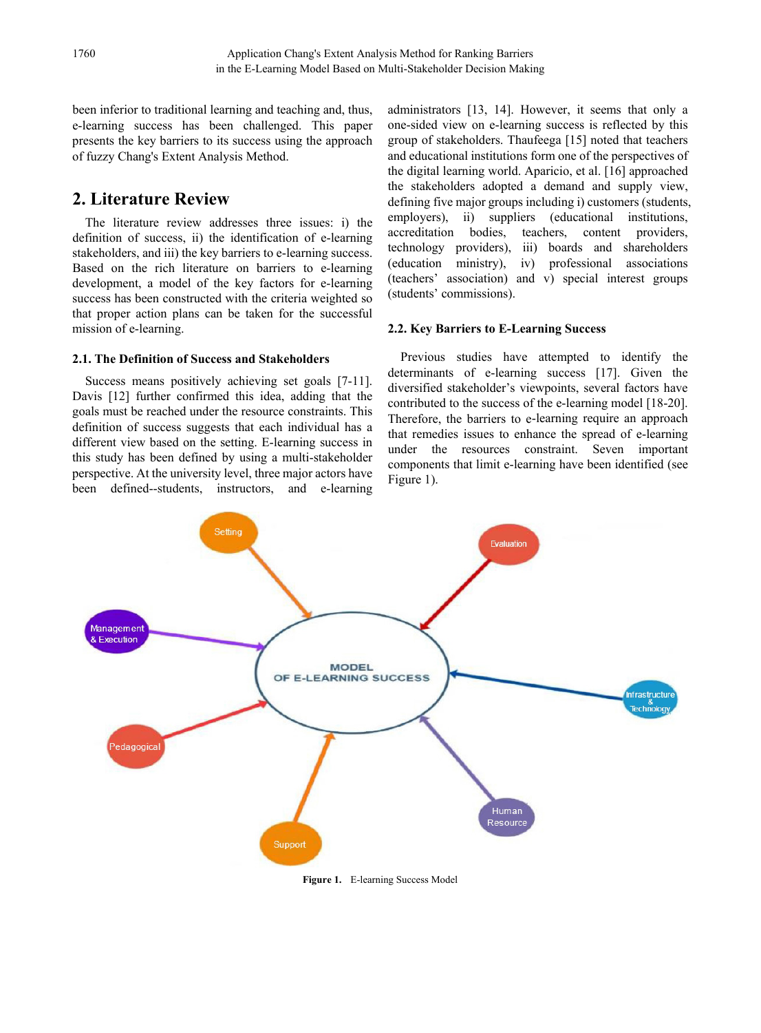been inferior to traditional learning and teaching and, thus, e-learning success has been challenged. This paper presents the key barriers to its success using the approach of fuzzy Chang's Extent Analysis Method.

# **2. Literature Review**

The literature review addresses three issues: i) the definition of success, ii) the identification of e-learning stakeholders, and iii) the key barriers to e-learning success. Based on the rich literature on barriers to e-learning development, a model of the key factors for e-learning success has been constructed with the criteria weighted so that proper action plans can be taken for the successful mission of e-learning.

#### **2.1. The Definition of Success and Stakeholders**

Success means positively achieving set goals [7-11]. Davis [12] further confirmed this idea, adding that the goals must be reached under the resource constraints. This definition of success suggests that each individual has a different view based on the setting. E-learning success in this study has been defined by using a multi-stakeholder perspective. At the university level, three major actors have been defined--students, instructors, and e-learning

administrators [13, 14]. However, it seems that only a one-sided view on e-learning success is reflected by this group of stakeholders. Thaufeega [15] noted that teachers and educational institutions form one of the perspectives of the digital learning world. Aparicio, et al. [16] approached the stakeholders adopted a demand and supply view, defining five major groups including i) customers (students, employers), ii) suppliers (educational institutions, employers), ii) suppliers (educational institutions, accreditation bodies, teachers, content providers, technology providers), iii) boards and shareholders (education ministry), iv) professional associations (teachers' association) and v) special interest groups (students' commissions).

### **2.2. Key Barriers to E-Learning Success**

Previous studies have attempted to identify the determinants of e-learning success [17]. Given the diversified stakeholder's viewpoints, several factors have contributed to the success of the e-learning model [18-20]. Therefore, the barriers to e-learning require an approach that remedies issues to enhance the spread of e-learning under the resources constraint. Seven important components that limit e-learning have been identified (see Figure 1).



**Figure 1.** E-learning Success Model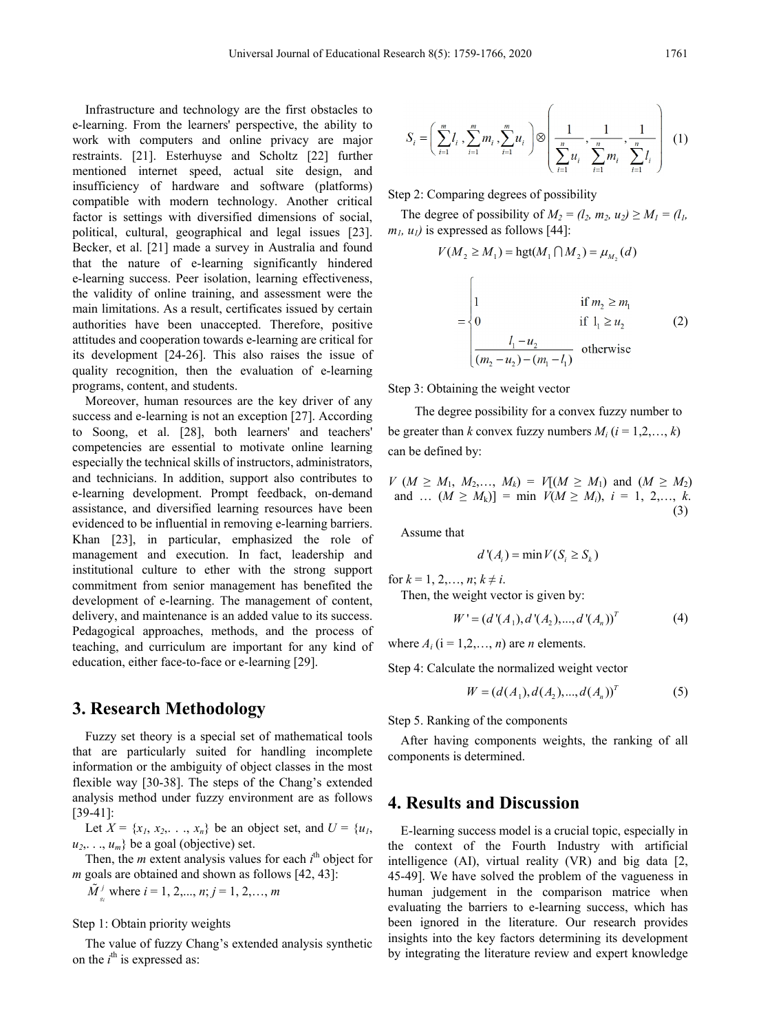Infrastructure and technology are the first obstacles to e-learning. From the learners' perspective, the ability to work with computers and online privacy are major restraints. [21]. Esterhuyse and Scholtz [22] further mentioned internet speed, actual site design, and insufficiency of hardware and software (platforms) compatible with modern technology. Another critical factor is settings with diversified dimensions of social, political, cultural, geographical and legal issues [23]. Becker, et al. [21] made a survey in Australia and found that the nature of e-learning significantly hindered e-learning success. Peer isolation, learning effectiveness, the validity of online training, and assessment were the main limitations. As a result, certificates issued by certain authorities have been unaccepted. Therefore, positive attitudes and cooperation towards e-learning are critical for its development [24-26]. This also raises the issue of quality recognition, then the evaluation of e-learning programs, content, and students.

Moreover, human resources are the key driver of any success and e-learning is not an exception [27]. According to Soong, et al. [28], both learners' and teachers' competencies are essential to motivate online learning especially the technical skills of instructors, administrators, and technicians. In addition, support also contributes to e-learning development. Prompt feedback, on-demand assistance, and diversified learning resources have been evidenced to be influential in removing e-learning barriers. Khan [23], in particular, emphasized the role of management and execution. In fact, leadership and institutional culture to ether with the strong support commitment from senior management has benefited the development of e-learning. The management of content, delivery, and maintenance is an added value to its success. Pedagogical approaches, methods, and the process of teaching, and curriculum are important for any kind of education, either face-to-face or e-learning [29].

## **3. Research Methodology**

Fuzzy set theory is a special set of mathematical tools that are particularly suited for handling incomplete information or the ambiguity of object classes in the most flexible way [30-38]. The steps of the Chang's extended analysis method under fuzzy environment are as follows [39-41]:

Let  $X = \{x_1, x_2, \ldots, x_n\}$  be an object set, and  $U = \{u_1, u_2, \ldots, u_n\}$  $u_2, \ldots, u_m$ } be a goal (objective) set.

Then, the  $m$  extent analysis values for each  $i<sup>th</sup>$  object for *m* goals are obtained and shown as follows [42, 43]:

 $\tilde{M}_{s_i}^j$  where  $i = 1, 2, ..., n; j = 1, 2, ..., m$ 

#### Step 1: Obtain priority weights

The value of fuzzy Chang's extended analysis synthetic on the *i*<sup>th</sup> is expressed as:

$$
S_i = \left(\sum_{i=1}^m l_i, \sum_{i=1}^m m_i, \sum_{i=1}^m u_i\right) \otimes \left(\frac{1}{\sum_{i=1}^n u_i}, \frac{1}{\sum_{i=1}^n m_i}, \frac{1}{\sum_{i=1}^n l_i}\right) (1)
$$

Step 2: Comparing degrees of possibility

The degree of possibility of  $M_2 = (l_2, m_2, u_2) \ge M_1 = (l_1, l_2)$  $m_l$ ,  $u_l$ ) is expressed as follows [44]:

$$
V(M_2 \ge M_1) = \text{hgt}(M_1 \cap M_2) = \mu_{M_2}(d)
$$

$$
= \begin{cases} 1 & \text{if } m_2 \ge m_1 \\ 0 & \text{if } 1_1 \ge u_2 \\ \frac{l_1 - u_2}{(m_2 - u_2) - (m_1 - l_1)} & \text{otherwise} \end{cases}
$$
 (2)

Step 3: Obtaining the weight vector

 $\overline{a}$ 

The degree possibility for a convex fuzzy number to be greater than *k* convex fuzzy numbers  $M_i$  ( $i = 1, 2, ..., k$ ) can be defined by:

$$
V (M \ge M_1, M_2, ..., M_k) = V[(M \ge M_1) \text{ and } (M \ge M_2) \nand ... (M \ge M_k)] = \min V(M \ge M_i), i = 1, 2, ..., k.
$$
\n(3)

Assume that

$$
d'(A_i) = \min V(S_i \ge S_k)
$$

for  $k = 1, 2, ..., n$ ;  $k \neq i$ .

Then, the weight vector is given by:

$$
W' = (d'(A_1), d'(A_2), ..., d'(A_n))^T
$$
 (4)

where  $A_i$  ( $i = 1, 2, \ldots, n$ ) are *n* elements.

Step 4: Calculate the normalized weight vector

$$
W = (d(A_1), d(A_2), ..., d(A_n))^T
$$
 (5)

Step 5. Ranking of the components

After having components weights, the ranking of all components is determined.

## **4. Results and Discussion**

E-learning success model is a crucial topic, especially in the context of the Fourth Industry with artificial intelligence (AI), virtual reality (VR) and big data [2, 45-49]. We have solved the problem of the vagueness in human judgement in the comparison matrice when evaluating the barriers to e-learning success, which has been ignored in the literature. Our research provides insights into the key factors determining its development by integrating the literature review and expert knowledge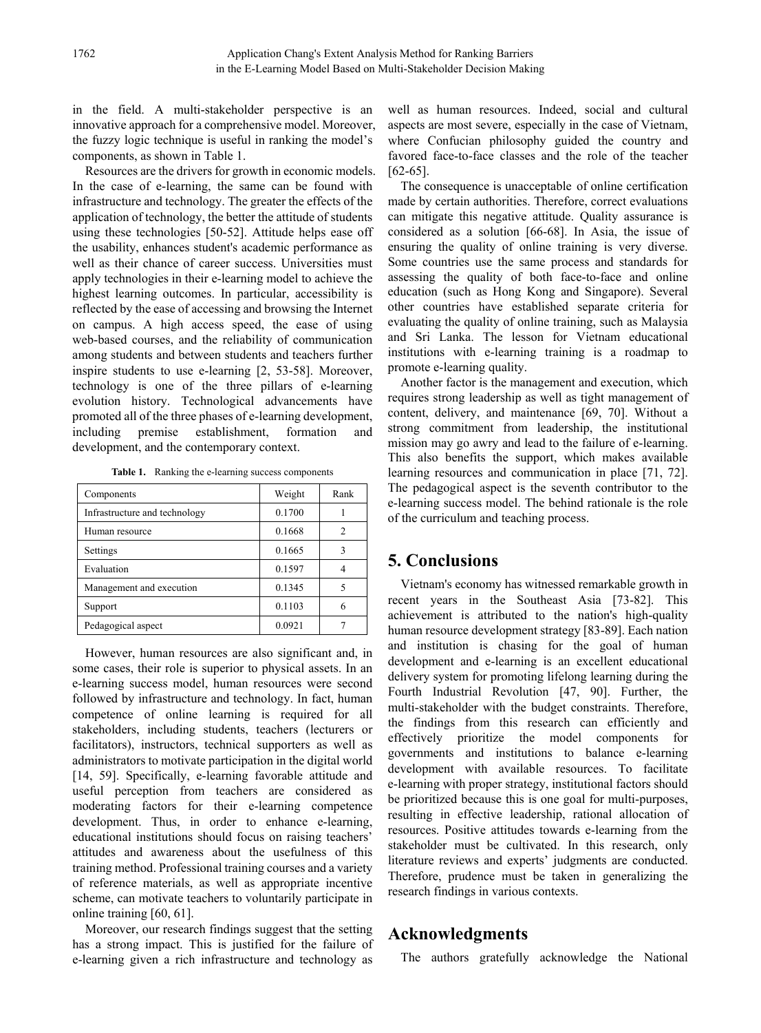in the field. A multi-stakeholder perspective is an innovative approach for a comprehensive model. Moreover, the fuzzy logic technique is useful in ranking the model's components, as shown in Table 1.

Resources are the drivers for growth in economic models. In the case of e-learning, the same can be found with infrastructure and technology. The greater the effects of the application of technology, the better the attitude of students using these technologies [50-52]. Attitude helps ease off the usability, enhances student's academic performance as well as their chance of career success. Universities must apply technologies in their e-learning model to achieve the highest learning outcomes. In particular, accessibility is reflected by the ease of accessing and browsing the Internet on campus. A high access speed, the ease of using web-based courses, and the reliability of communication among students and between students and teachers further inspire students to use e-learning [2, 53-58]. Moreover, technology is one of the three pillars of e-learning evolution history. Technological advancements have promoted all of the three phases of e-learning development, including premise establishment, formation and development, and the contemporary context.

**Table 1.** Ranking the e-learning success components

| Components                    | Weight | Rank |
|-------------------------------|--------|------|
| Infrastructure and technology | 0.1700 |      |
| Human resource                | 0.1668 | 2    |
| Settings                      | 0.1665 | 3    |
| Evaluation                    | 0.1597 |      |
| Management and execution      | 0.1345 | 5    |
| Support                       | 0.1103 | 6    |
| Pedagogical aspect            | 0.0921 |      |

However, human resources are also significant and, in some cases, their role is superior to physical assets. In an e-learning success model, human resources were second followed by infrastructure and technology. In fact, human competence of online learning is required for all stakeholders, including students, teachers (lecturers or facilitators), instructors, technical supporters as well as administrators to motivate participation in the digital world [14, 59]. Specifically, e-learning favorable attitude and useful perception from teachers are considered as moderating factors for their e-learning competence development. Thus, in order to enhance e-learning, educational institutions should focus on raising teachers' attitudes and awareness about the usefulness of this training method. Professional training courses and a variety of reference materials, as well as appropriate incentive scheme, can motivate teachers to voluntarily participate in online training [60, 61].

Moreover, our research findings suggest that the setting has a strong impact. This is justified for the failure of e-learning given a rich infrastructure and technology as

well as human resources. Indeed, social and cultural aspects are most severe, especially in the case of Vietnam, where Confucian philosophy guided the country and favored face-to-face classes and the role of the teacher [62-65].

The consequence is unacceptable of online certification made by certain authorities. Therefore, correct evaluations can mitigate this negative attitude. Quality assurance is considered as a solution [66-68]. In Asia, the issue of ensuring the quality of online training is very diverse. Some countries use the same process and standards for assessing the quality of both face-to-face and online education (such as Hong Kong and Singapore). Several other countries have established separate criteria for evaluating the quality of online training, such as Malaysia and Sri Lanka. The lesson for Vietnam educational institutions with e-learning training is a roadmap to promote e-learning quality.

Another factor is the management and execution, which requires strong leadership as well as tight management of content, delivery, and maintenance [69, 70]. Without a strong commitment from leadership, the institutional mission may go awry and lead to the failure of e-learning. This also benefits the support, which makes available learning resources and communication in place [71, 72]. The pedagogical aspect is the seventh contributor to the e-learning success model. The behind rationale is the role of the curriculum and teaching process.

# **5. Conclusions**

Vietnam's economy has witnessed remarkable growth in recent years in the Southeast Asia [73-82]. This achievement is attributed to the nation's high-quality human resource development strategy [83-89]. Each nation and institution is chasing for the goal of human development and e-learning is an excellent educational delivery system for promoting lifelong learning during the Fourth Industrial Revolution [47, 90]. Further, the multi-stakeholder with the budget constraints. Therefore, the findings from this research can efficiently and effectively prioritize the model components for governments and institutions to balance e-learning development with available resources. To facilitate e-learning with proper strategy, institutional factors should be prioritized because this is one goal for multi-purposes, resulting in effective leadership, rational allocation of resources. Positive attitudes towards e-learning from the stakeholder must be cultivated. In this research, only literature reviews and experts' judgments are conducted. Therefore, prudence must be taken in generalizing the research findings in various contexts.

# **Acknowledgments**

The authors gratefully acknowledge the National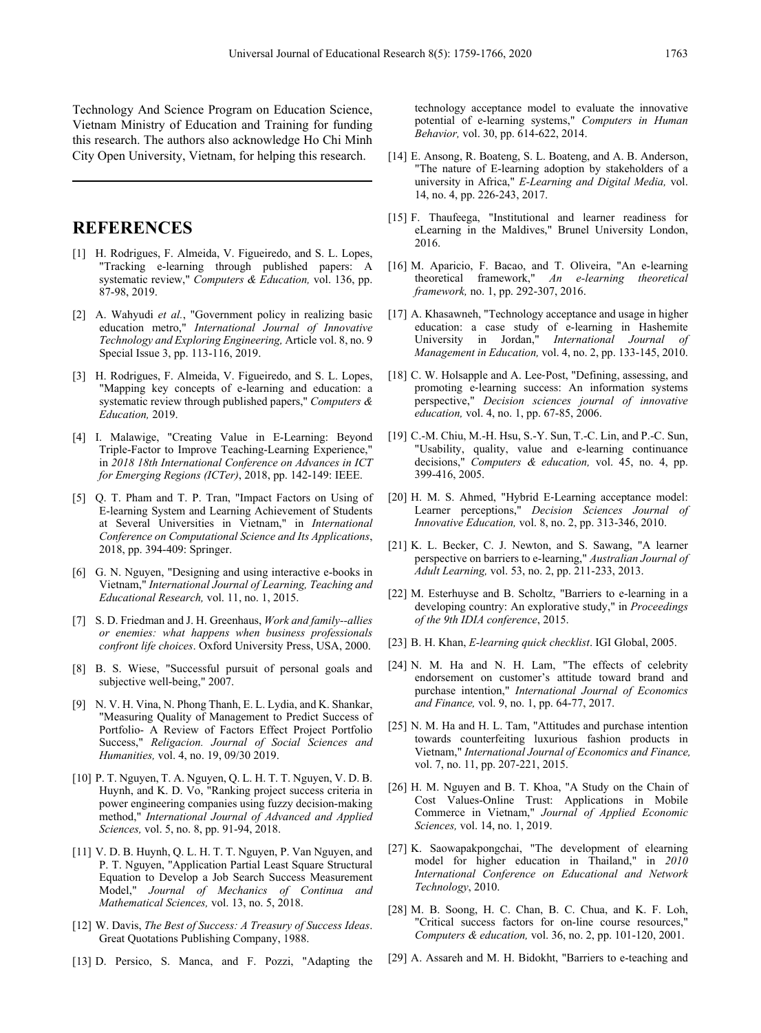Technology And Science Program on Education Science, Vietnam Ministry of Education and Training for funding this research. The authors also acknowledge Ho Chi Minh City Open University, Vietnam, for helping this research.

## **REFERENCES**

- [1] H. Rodrigues, F. Almeida, V. Figueiredo, and S. L. Lopes, "Tracking e-learning through published papers: A systematic review," *Computers & Education,* vol. 136, pp. 87-98, 2019.
- [2] A. Wahyudi *et al.*, "Government policy in realizing basic education metro," *International Journal of Innovative Technology and Exploring Engineering,* Article vol. 8, no. 9 Special Issue 3, pp. 113-116, 2019.
- [3] H. Rodrigues, F. Almeida, V. Figueiredo, and S. L. Lopes, "Mapping key concepts of e-learning and education: a systematic review through published papers," *Computers & Education,* 2019.
- [4] I. Malawige, "Creating Value in E-Learning: Beyond Triple-Factor to Improve Teaching-Learning Experience," in *2018 18th International Conference on Advances in ICT for Emerging Regions (ICTer)*, 2018, pp. 142-149: IEEE.
- [5] Q. T. Pham and T. P. Tran, "Impact Factors on Using of E-learning System and Learning Achievement of Students at Several Universities in Vietnam," in *International Conference on Computational Science and Its Applications*, 2018, pp. 394-409: Springer.
- [6] G. N. Nguyen, "Designing and using interactive e-books in Vietnam," *International Journal of Learning, Teaching and Educational Research,* vol. 11, no. 1, 2015.
- [7] S. D. Friedman and J. H. Greenhaus, *Work and family--allies or enemies: what happens when business professionals confront life choices*. Oxford University Press, USA, 2000.
- [8] B. S. Wiese, "Successful pursuit of personal goals and subjective well-being," 2007.
- [9] N. V. H. Vina, N. Phong Thanh, E. L. Lydia, and K. Shankar, "Measuring Quality of Management to Predict Success of Portfolio- A Review of Factors Effect Project Portfolio Success," *Religacion. Journal of Social Sciences and Humanities,* vol. 4, no. 19, 09/30 2019.
- [10] P. T. Nguyen, T. A. Nguyen, Q. L. H. T. T. Nguyen, V. D. B. Huynh, and K. D. Vo, "Ranking project success criteria in power engineering companies using fuzzy decision-making method," *International Journal of Advanced and Applied Sciences,* vol. 5, no. 8, pp. 91-94, 2018.
- [11] V. D. B. Huynh, Q. L. H. T. T. Nguyen, P. Van Nguyen, and P. T. Nguyen, "Application Partial Least Square Structural Equation to Develop a Job Search Success Measurement Model," *Journal of Mechanics of Continua and Mathematical Sciences,* vol. 13, no. 5, 2018.
- [12] W. Davis, *The Best of Success: A Treasury of Success Ideas*. Great Quotations Publishing Company, 1988.
- [13] D. Persico, S. Manca, and F. Pozzi, "Adapting the

technology acceptance model to evaluate the innovative potential of e-learning systems," *Computers in Human Behavior,* vol. 30, pp. 614-622, 2014.

- [14] E. Ansong, R. Boateng, S. L. Boateng, and A. B. Anderson, "The nature of E-learning adoption by stakeholders of a university in Africa," *E-Learning and Digital Media,* vol. 14, no. 4, pp. 226-243, 2017.
- [15] F. Thaufeega, "Institutional and learner readiness for eLearning in the Maldives," Brunel University London, 2016.
- [16] M. Aparicio, F. Bacao, and T. Oliveira, "An e-learning theoretical framework," *An e-learning theoretical framework,* no. 1, pp. 292-307, 2016.
- [17] A. Khasawneh, "Technology acceptance and usage in higher education: a case study of e-learning in Hashemite<br>University in Jordan," *International Journal of* International Journal of *Management in Education,* vol. 4, no. 2, pp. 133-145, 2010.
- [18] C. W. Holsapple and A. Lee-Post, "Defining, assessing, and promoting e‐learning success: An information systems perspective," *Decision sciences journal of innovative education,* vol. 4, no. 1, pp. 67-85, 2006.
- [19] C.-M. Chiu, M.-H. Hsu, S.-Y. Sun, T.-C. Lin, and P.-C. Sun, "Usability, quality, value and e-learning continuance decisions," *Computers & education,* vol. 45, no. 4, pp. 399-416, 2005.
- [20] H. M. S. Ahmed, "Hybrid E-Learning acceptance model: Learner perceptions," *Decision Sciences Journal of Innovative Education,* vol. 8, no. 2, pp. 313-346, 2010.
- [21] K. L. Becker, C. J. Newton, and S. Sawang, "A learner perspective on barriers to e-learning," *Australian Journal of Adult Learning,* vol. 53, no. 2, pp. 211-233, 2013.
- [22] M. Esterhuyse and B. Scholtz, "Barriers to e-learning in a developing country: An explorative study," in *Proceedings of the 9th IDIA conference*, 2015.
- [23] B. H. Khan, *E-learning quick checklist*. IGI Global, 2005.
- [24] N. M. Ha and N. H. Lam, "The effects of celebrity endorsement on customer's attitude toward brand and purchase intention," *International Journal of Economics and Finance,* vol. 9, no. 1, pp. 64-77, 2017.
- [25] N. M. Ha and H. L. Tam, "Attitudes and purchase intention towards counterfeiting luxurious fashion products in Vietnam," *International Journal of Economics and Finance,*  vol. 7, no. 11, pp. 207-221, 2015.
- [26] H. M. Nguyen and B. T. Khoa, "A Study on the Chain of Cost Values-Online Trust: Applications in Mobile Commerce in Vietnam," *Journal of Applied Economic Sciences,* vol. 14, no. 1, 2019.
- [27] K. Saowapakpongchai, "The development of elearning model for higher education in Thailand," in *2010 International Conference on Educational and Network Technology*, 2010.
- [28] M. B. Soong, H. C. Chan, B. C. Chua, and K. F. Loh, "Critical success factors for on-line course resources, *Computers & education,* vol. 36, no. 2, pp. 101-120, 2001.
- [29] A. Assareh and M. H. Bidokht, "Barriers to e-teaching and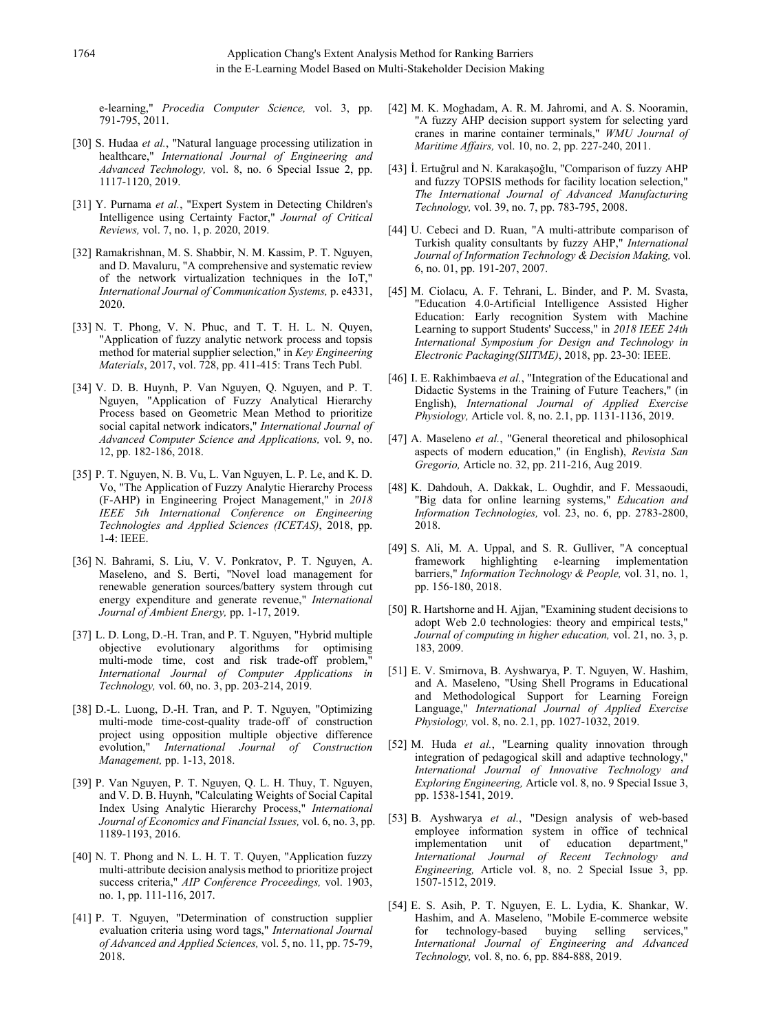e-learning," *Procedia Computer Science,* vol. 3, pp. 791-795, 2011.

- [30] S. Hudaa *et al.*, "Natural language processing utilization in healthcare," *International Journal of Engineering and Advanced Technology,* vol. 8, no. 6 Special Issue 2, pp. 1117-1120, 2019.
- [31] Y. Purnama *et al.*, "Expert System in Detecting Children's Intelligence using Certainty Factor," *Journal of Critical Reviews,* vol. 7, no. 1, p. 2020, 2019.
- [32] Ramakrishnan, M. S. Shabbir, N. M. Kassim, P. T. Nguyen, and D. Mavaluru, "A comprehensive and systematic review of the network virtualization techniques in the IoT," *International Journal of Communication Systems,* p. e4331, 2020.
- [33] N. T. Phong, V. N. Phuc, and T. T. H. L. N. Ouven, "Application of fuzzy analytic network process and topsis method for material supplier selection," in *Key Engineering Materials*, 2017, vol. 728, pp. 411-415: Trans Tech Publ.
- [34] V. D. B. Huynh, P. Van Nguyen, Q. Nguyen, and P. T. Nguyen, "Application of Fuzzy Analytical Hierarchy Process based on Geometric Mean Method to prioritize social capital network indicators," *International Journal of Advanced Computer Science and Applications,* vol. 9, no. 12, pp. 182-186, 2018.
- [35] P. T. Nguyen, N. B. Vu, L. Van Nguyen, L. P. Le, and K. D. Vo, "The Application of Fuzzy Analytic Hierarchy Process (F-AHP) in Engineering Project Management," in *2018 IEEE 5th International Conference on Engineering Technologies and Applied Sciences (ICETAS)*, 2018, pp. 1-4: IEEE.
- [36] N. Bahrami, S. Liu, V. V. Ponkratov, P. T. Nguyen, A. Maseleno, and S. Berti, "Novel load management for renewable generation sources/battery system through cut energy expenditure and generate revenue," *International Journal of Ambient Energy,* pp. 1-17, 2019.
- [37] L. D. Long, D.-H. Tran, and P. T. Nguyen, "Hybrid multiple objective evolutionary algorithms for optimising multi-mode time, cost and risk trade-off problem," *International Journal of Computer Applications in Technology,* vol. 60, no. 3, pp. 203-214, 2019.
- [38] D.-L. Luong, D.-H. Tran, and P. T. Nguyen, "Optimizing multi-mode time-cost-quality trade-off of construction project using opposition multiple objective difference evolution," *International Journal of Construction Management,* pp. 1-13, 2018.
- [39] P. Van Nguyen, P. T. Nguyen, Q. L. H. Thuy, T. Nguyen, and V. D. B. Huynh, "Calculating Weights of Social Capital Index Using Analytic Hierarchy Process," *International Journal of Economics and Financial Issues,* vol. 6, no. 3, pp. 1189-1193, 2016.
- [40] N. T. Phong and N. L. H. T. T. Quyen, "Application fuzzy multi-attribute decision analysis method to prioritize project success criteria," *AIP Conference Proceedings,* vol. 1903, no. 1, pp. 111-116, 2017.
- [41] P. T. Nguyen, "Determination of construction supplier evaluation criteria using word tags," *International Journal of Advanced and Applied Sciences,* vol. 5, no. 11, pp. 75-79, 2018.
- [42] M. K. Moghadam, A. R. M. Jahromi, and A. S. Nooramin, "A fuzzy AHP decision support system for selecting yard cranes in marine container terminals," *WMU Journal of Maritime Affairs,* vol. 10, no. 2, pp. 227-240, 2011.
- [43] İ. Ertuğrul and N. Karakaşoğlu, "Comparison of fuzzy AHP and fuzzy TOPSIS methods for facility location selection," *The International Journal of Advanced Manufacturing Technology,* vol. 39, no. 7, pp. 783-795, 2008.
- [44] U. Cebeci and D. Ruan, "A multi-attribute comparison of Turkish quality consultants by fuzzy AHP," *International Journal of Information Technology & Decision Making,* vol. 6, no. 01, pp. 191-207, 2007.
- [45] M. Ciolacu, A. F. Tehrani, L. Binder, and P. M. Svasta, "Education 4.0-Artificial Intelligence Assisted Higher Education: Early recognition System with Machine Learning to support Students' Success," in *2018 IEEE 24th International Symposium for Design and Technology in Electronic Packaging(SIITME)*, 2018, pp. 23-30: IEEE.
- [46] I. E. Rakhimbaeva et al., "Integration of the Educational and Didactic Systems in the Training of Future Teachers," (in English), *International Journal of Applied Exercise Physiology,* Article vol. 8, no. 2.1, pp. 1131-1136, 2019.
- [47] A. Maseleno *et al.*, "General theoretical and philosophical aspects of modern education," (in English), *Revista San Gregorio,* Article no. 32, pp. 211-216, Aug 2019.
- [48] K. Dahdouh, A. Dakkak, L. Oughdir, and F. Messaoudi, "Big data for online learning systems," *Education and Information Technologies,* vol. 23, no. 6, pp. 2783-2800, 2018.
- [49] S. Ali, M. A. Uppal, and S. R. Gulliver, "A conceptual framework highlighting e-learning implementation barriers," *Information Technology & People,* vol. 31, no. 1, pp. 156-180, 2018.
- [50] R. Hartshorne and H. Ajjan, "Examining student decisions to adopt Web 2.0 technologies: theory and empirical tests," *Journal of computing in higher education,* vol. 21, no. 3, p. 183, 2009.
- [51] E. V. Smirnova, B. Ayshwarya, P. T. Nguyen, W. Hashim, and A. Maseleno, "Using Shell Programs in Educational and Methodological Support for Learning Foreign Language," *International Journal of Applied Exercise Physiology,* vol. 8, no. 2.1, pp. 1027-1032, 2019.
- [52] M. Huda *et al.*, "Learning quality innovation through integration of pedagogical skill and adaptive technology," *International Journal of Innovative Technology and Exploring Engineering,* Article vol. 8, no. 9 Special Issue 3, pp. 1538-1541, 2019.
- [53] B. Ayshwarya *et al.*, "Design analysis of web-based employee information system in office of technical implementation unit of education department," implementation unit *International Journal of Recent Technology and Engineering,* Article vol. 8, no. 2 Special Issue 3, pp. 1507-1512, 2019.
- [54] E. S. Asih, P. T. Nguyen, E. L. Lydia, K. Shankar, W. Hashim, and A. Maseleno, "Mobile E-commerce website for technology-based buying selling services," *International Journal of Engineering and Advanced Technology,* vol. 8, no. 6, pp. 884-888, 2019.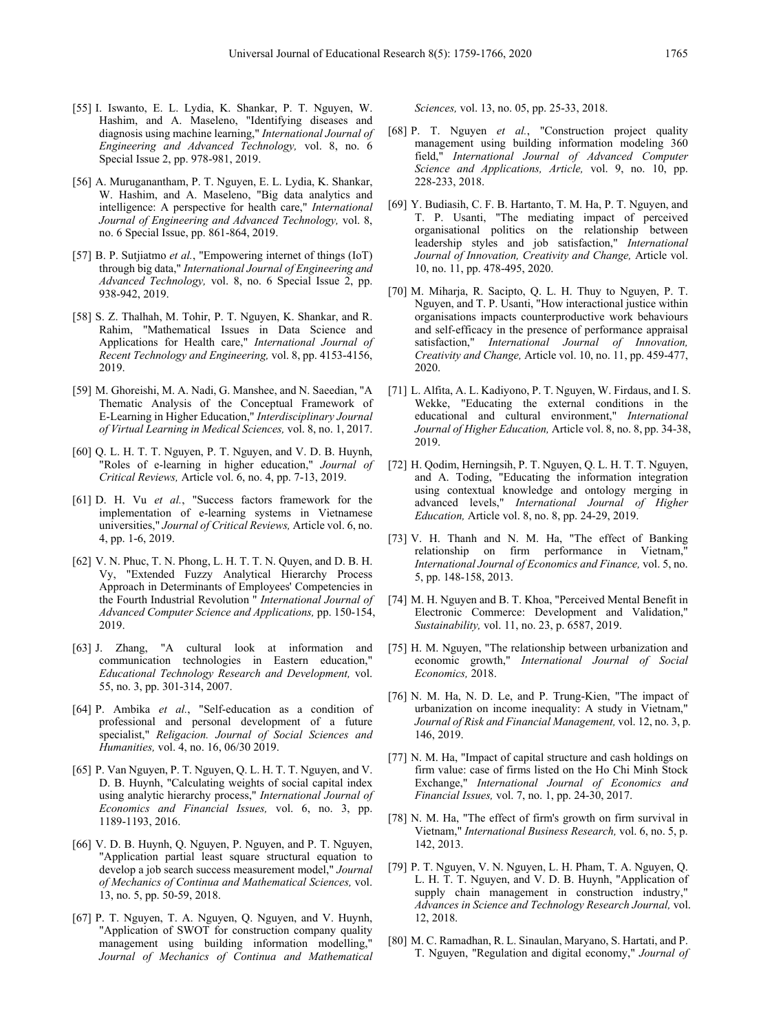- [55] I. Iswanto, E. L. Lydia, K. Shankar, P. T. Nguyen, W. Hashim, and A. Maseleno, "Identifying diseases and diagnosis using machine learning," *International Journal of Engineering and Advanced Technology,* vol. 8, no. 6 Special Issue 2, pp. 978-981, 2019.
- [56] A. Muruganantham, P. T. Nguyen, E. L. Lydia, K. Shankar, W. Hashim, and A. Maseleno, "Big data analytics and intelligence: A perspective for health care," *International Journal of Engineering and Advanced Technology,* vol. 8, no. 6 Special Issue, pp. 861-864, 2019.
- [57] B. P. Sutjiatmo *et al.*, "Empowering internet of things (IoT) through big data," *International Journal of Engineering and Advanced Technology,* vol. 8, no. 6 Special Issue 2, pp. 938-942, 2019.
- [58] S. Z. Thalhah, M. Tohir, P. T. Nguyen, K. Shankar, and R. Rahim, "Mathematical Issues in Data Science and Applications for Health care," *International Journal of Recent Technology and Engineering,* vol. 8, pp. 4153-4156, 2019.
- [59] M. Ghoreishi, M. A. Nadi, G. Manshee, and N. Saeedian, "A Thematic Analysis of the Conceptual Framework of E-Learning in Higher Education," *Interdisciplinary Journal of Virtual Learning in Medical Sciences,* vol. 8, no. 1, 2017.
- [60] Q. L. H. T. T. Nguyen, P. T. Nguyen, and V. D. B. Huynh, "Roles of e-learning in higher education," *Journal of Critical Reviews,* Article vol. 6, no. 4, pp. 7-13, 2019.
- [61] D. H. Vu *et al.*, "Success factors framework for the implementation of e-learning systems in Vietnamese universities," *Journal of Critical Reviews,* Article vol. 6, no. 4, pp. 1-6, 2019.
- [62] V. N. Phuc, T. N. Phong, L. H. T. T. N. Quyen, and D. B. H. Vy, "Extended Fuzzy Analytical Hierarchy Process Approach in Determinants of Employees' Competencies in the Fourth Industrial Revolution " *International Journal of Advanced Computer Science and Applications,* pp. 150-154, 2019.
- [63] J. Zhang, "A cultural look at information and communication technologies in Eastern education," *Educational Technology Research and Development,* vol. 55, no. 3, pp. 301-314, 2007.
- [64] P. Ambika *et al.*, "Self-education as a condition of professional and personal development of a future specialist," *Religacion. Journal of Social Sciences and Humanities,* vol. 4, no. 16, 06/30 2019.
- [65] P. Van Nguyen, P. T. Nguyen, Q. L. H. T. T. Nguyen, and V. D. B. Huynh, "Calculating weights of social capital index using analytic hierarchy process," *International Journal of Economics and Financial Issues,* vol. 6, no. 3, pp. 1189-1193, 2016.
- [66] V. D. B. Huynh, Q. Nguyen, P. Nguyen, and P. T. Nguyen, "Application partial least square structural equation to develop a job search success measurement model," *Journal of Mechanics of Continua and Mathematical Sciences,* vol. 13, no. 5, pp. 50-59, 2018.
- [67] P. T. Nguyen, T. A. Nguyen, Q. Nguyen, and V. Huynh, "Application of SWOT for construction company quality management using building information modelling," *Journal of Mechanics of Continua and Mathematical*

*Sciences,* vol. 13, no. 05, pp. 25-33, 2018.

- [68] P. T. Nguyen *et al.*, "Construction project quality management using building information modeling 360 field," *International Journal of Advanced Computer Science and Applications, Article,* vol. 9, no. 10, pp. 228-233, 2018.
- [69] Y. Budiasih, C. F. B. Hartanto, T. M. Ha, P. T. Nguyen, and T. P. Usanti, "The mediating impact of perceived organisational politics on the relationship between leadership styles and job satisfaction," *International Journal of Innovation, Creativity and Change,* Article vol. 10, no. 11, pp. 478-495, 2020.
- [70] M. Miharja, R. Sacipto, Q. L. H. Thuy to Nguyen, P. T. Nguyen, and T. P. Usanti, "How interactional justice within organisations impacts counterproductive work behaviours and self-efficacy in the presence of performance appraisal satisfaction," *International Journal of Innovation, Creativity and Change,* Article vol. 10, no. 11, pp. 459-477, 2020.
- [71] L. Alfita, A. L. Kadiyono, P. T. Nguyen, W. Firdaus, and I. S. Wekke, "Educating the external conditions in the educational and cultural environment," *International Journal of Higher Education,* Article vol. 8, no. 8, pp. 34-38, 2019.
- [72] H. Qodim, Herningsih, P. T. Nguyen, Q. L. H. T. T. Nguyen, and A. Toding, "Educating the information integration using contextual knowledge and ontology merging in advanced levels," *International Journal of Higher Education,* Article vol. 8, no. 8, pp. 24-29, 2019.
- [73] V. H. Thanh and N. M. Ha, "The effect of Banking relationship on firm performance in Vietnam," *International Journal of Economics and Finance,* vol. 5, no. 5, pp. 148-158, 2013.
- [74] M. H. Nguyen and B. T. Khoa, "Perceived Mental Benefit in Electronic Commerce: Development and Validation," *Sustainability,* vol. 11, no. 23, p. 6587, 2019.
- [75] H. M. Nguyen, "The relationship between urbanization and economic growth," *International Journal of Social Economics,* 2018.
- [76] N. M. Ha, N. D. Le, and P. Trung-Kien, "The impact of urbanization on income inequality: A study in Vietnam," *Journal of Risk and Financial Management,* vol. 12, no. 3, p. 146, 2019.
- [77] N. M. Ha, "Impact of capital structure and cash holdings on firm value: case of firms listed on the Ho Chi Minh Stock Exchange," *International Journal of Economics and Financial Issues,* vol. 7, no. 1, pp. 24-30, 2017.
- [78] N. M. Ha, "The effect of firm's growth on firm survival in Vietnam," *International Business Research,* vol. 6, no. 5, p. 142, 2013.
- [79] P. T. Nguyen, V. N. Nguyen, L. H. Pham, T. A. Nguyen, Q. L. H. T. T. Nguyen, and V. D. B. Huynh, "Application of supply chain management in construction industry," *Advances in Science and Technology Research Journal,* vol. 12, 2018.
- [80] M. C. Ramadhan, R. L. Sinaulan, Maryano, S. Hartati, and P. T. Nguyen, "Regulation and digital economy," *Journal of*